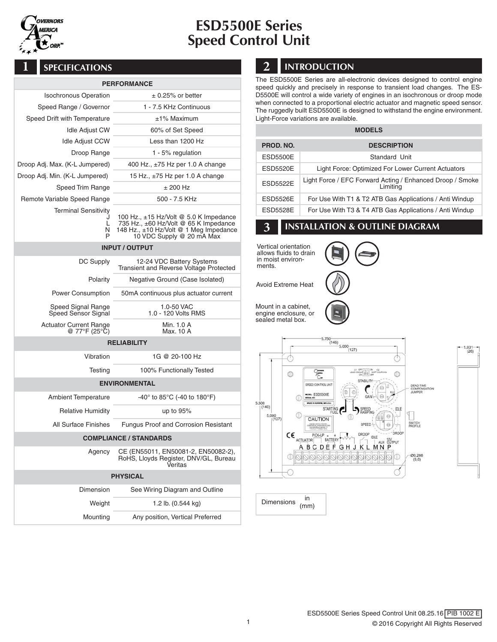

# ESD5500E Series Speed Control Unit

### **PERFORMANCE**

|                                                 | PERFORMANCE                                                                                                                                                      |  |  |  |
|-------------------------------------------------|------------------------------------------------------------------------------------------------------------------------------------------------------------------|--|--|--|
| <b>Isochronous Operation</b>                    | $\pm$ 0.25% or better                                                                                                                                            |  |  |  |
| Speed Range / Governor                          | 1 - 7.5 KHz Continuous                                                                                                                                           |  |  |  |
| Speed Drift with Temperature                    | ±1% Maximum                                                                                                                                                      |  |  |  |
| <b>Idle Adjust CW</b>                           | 60% of Set Speed                                                                                                                                                 |  |  |  |
| <b>Idle Adjust CCW</b>                          | Less than 1200 Hz                                                                                                                                                |  |  |  |
| Droop Range                                     | 1 - 5% regulation                                                                                                                                                |  |  |  |
| Droop Adj. Max. (K-L Jumpered)                  | 400 Hz., $\pm 75$ Hz per 1.0 A change                                                                                                                            |  |  |  |
| Droop Adj. Min. (K-L Jumpered)                  | 15 Hz., $\pm$ 75 Hz per 1.0 A change                                                                                                                             |  |  |  |
| Speed Trim Range                                | ± 200 Hz                                                                                                                                                         |  |  |  |
| Remote Variable Speed Range                     | 500 - 7.5 KHz                                                                                                                                                    |  |  |  |
| <b>Terminal Sensitivity</b><br>J<br>L<br>N<br>P | 100 Hz., $\pm$ 15 Hz/Volt @ 5.0 K Impedance<br>735 Hz., ±60 Hz/Volt @ 65 K Impedance<br>148 Hz., $\pm$ 10 Hz/Volt @ 1 Meg Impedance<br>10 VDC Supply @ 20 mA Max |  |  |  |
|                                                 | <b>INPUT / OUTPUT</b>                                                                                                                                            |  |  |  |
| DC Supply                                       | 12-24 VDC Battery Systems<br>Transient and Reverse Voltage Protected                                                                                             |  |  |  |
| Polarity                                        | Negative Ground (Case Isolated)                                                                                                                                  |  |  |  |
| Power Consumption                               | 50mA continuous plus actuator current                                                                                                                            |  |  |  |
| Speed Signal Range<br>Speed Sensor Signal       | 1.0-50 VAC<br>1.0 - 120 Volts RMS                                                                                                                                |  |  |  |
| <b>Actuator Current Range</b><br>@ 77°F (25°C)  | Min. 1.0 A<br>Max. 10 A                                                                                                                                          |  |  |  |
| <b>RELIABILITY</b>                              |                                                                                                                                                                  |  |  |  |
| Vibration                                       | 1G @ 20-100 Hz                                                                                                                                                   |  |  |  |
| Testing                                         | 100% Functionally Tested                                                                                                                                         |  |  |  |
| <b>ENVIRONMENTAL</b>                            |                                                                                                                                                                  |  |  |  |
| <b>Ambient Temperature</b>                      | $-40^{\circ}$ to 85 $^{\circ}$ C (-40 to 180 $^{\circ}$ F)                                                                                                       |  |  |  |
| <b>Relative Humidity</b>                        | up to 95%                                                                                                                                                        |  |  |  |
| All Surface Finishes                            | <b>Fungus Proof and Corrosion Resistant</b>                                                                                                                      |  |  |  |
| <b>COMPLIANCE / STANDARDS</b>                   |                                                                                                                                                                  |  |  |  |
| Agency                                          | CE (EN55011, EN50081-2, EN50082-2),<br>RoHS, Lloyds Register, DNV/GL, Bureau<br>Veritas                                                                          |  |  |  |
| <b>PHYSICAL</b>                                 |                                                                                                                                                                  |  |  |  |
| Dimension                                       | See Wiring Diagram and Outline                                                                                                                                   |  |  |  |
|                                                 |                                                                                                                                                                  |  |  |  |

| Weight   | 1.2 lb. $(0.544 \text{ kg})$     |
|----------|----------------------------------|
| Mounting | Any position, Vertical Preferred |

## **1** SPECIFICATIONS **2** INTRODUCTION

The ESD5500E Series are all-electronic devices designed to control engine speed quickly and precisely in response to transient load changes. The ES-D5500E will control a wide variety of engines in an isochronous or droop mode when connected to a proportional electric actuator and magnetic speed sensor. The ruggedly built ESD5500E is designed to withstand the engine environment. Light-Force variations are available.

| <b>MODELS</b>   |                                                                       |  |  |
|-----------------|-----------------------------------------------------------------------|--|--|
| PROD. NO.       | <b>DESCRIPTION</b>                                                    |  |  |
| <b>ESD5500E</b> | Standard Unit                                                         |  |  |
| <b>ESD5520E</b> | Light Force: Optimized For Lower Current Actuators                    |  |  |
| <b>ESD5522E</b> | Light Force / EFC Forward Acting / Enhanced Droop / Smoke<br>Limiting |  |  |
| <b>ESD5526E</b> | For Use With T1 & T2 ATB Gas Applications / Anti Windup               |  |  |
| <b>ESD5528E</b> | For Use With T3 & T4 ATB Gas Applications / Anti Windup               |  |  |

### **3** INSTALLATION & OUTLINE DIAGRAM

Vertical orientation allows fluids to drain in moist environments.



Avoid Extreme Heat

Mount in a cabinet, engine enclosure, or



sealed metal box.



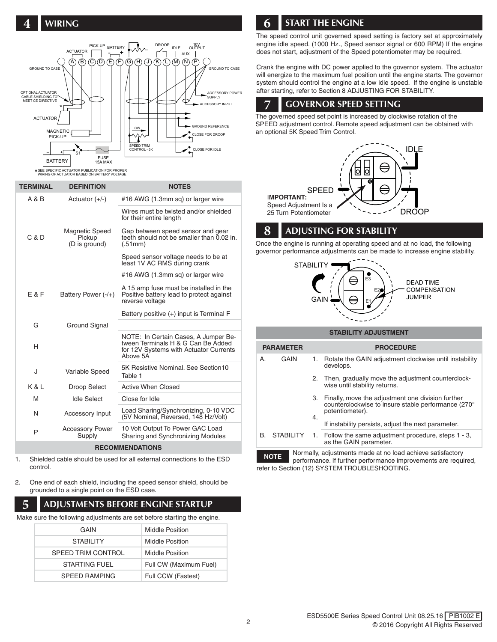

#### \*SEE SPECIFIC ACTUATOR PUBLICATION FOR PROPER WIRING OF ACTUATOR BASED ON BATTERY VOLTAGE

| <b>TERMINAL</b>        | <b>DEFINITION</b>                         | <b>NOTES</b>                                                                                                                     |  |
|------------------------|-------------------------------------------|----------------------------------------------------------------------------------------------------------------------------------|--|
| A & B                  | Actuator $(+/-)$                          | #16 AWG (1.3mm sq) or larger wire                                                                                                |  |
|                        |                                           | Wires must be twisted and/or shielded<br>for their entire length                                                                 |  |
| C & D                  | Magnetic Speed<br>Pickup<br>(D is ground) | Gap between speed sensor and gear<br>teeth should not be smaller than 0.02 in.<br>(.51mm)                                        |  |
|                        |                                           | Speed sensor voltage needs to be at<br>least 1V AC RMS during crank                                                              |  |
|                        |                                           | #16 AWG (1.3mm sq) or larger wire                                                                                                |  |
| E & F                  | Battery Power (-/+)                       | A 15 amp fuse must be installed in the<br>Positive battery lead to protect against<br>reverse voltage                            |  |
|                        |                                           | Battery positive (+) input is Terminal F                                                                                         |  |
| G                      | Ground Signal                             |                                                                                                                                  |  |
| H                      |                                           | NOTE: In Certain Cases, A Jumper Be-<br>tween Terminals H & G Can Be Added<br>for 12V Systems with Actuator Currents<br>Above 5A |  |
| J                      | Variable Speed                            | 5K Resistive Nominal, See Section10<br>Table 1                                                                                   |  |
| K & L                  | Droop Select                              | <b>Active When Closed</b>                                                                                                        |  |
| M                      | <b>Idle Select</b>                        | Close for Idle                                                                                                                   |  |
| N                      | <b>Accessory Input</b>                    | Load Sharing/Synchronizing, 0-10 VDC<br>(5V Nominal, Reversed, 148 Hz/Volt)                                                      |  |
| P                      | <b>Accessory Power</b><br>Supply          | 10 Volt Output To Power GAC Load<br>Sharing and Synchronizing Modules                                                            |  |
| <b>RECOMMENDATIONS</b> |                                           |                                                                                                                                  |  |

- 1. Shielded cable should be used for all external connections to the ESD control.
- 2. One end of each shield, including the speed sensor shield, should be grounded to a single point on the ESD case.

### **5** ADJUSTMENTS BEFORE ENGINE STARTUP

Make sure the following adjustments are set before starting the engine.

| GAIN                 | Middle Position        |
|----------------------|------------------------|
| <b>STABILITY</b>     | Middle Position        |
| SPEED TRIM CONTROL   | Middle Position        |
| STARTING FUEL        | Full CW (Maximum Fuel) |
| <b>SPEED RAMPING</b> | Full CCW (Fastest)     |

### **6** START THE ENGINE

The speed control unit governed speed setting is factory set at approximately engine idle speed. (1000 Hz., Speed sensor signal or 600 RPM) If the engine does not start, adjustment of the Speed potentiometer may be required.

Crank the engine with DC power applied to the governor system. The actuator will energize to the maximum fuel position until the engine starts. The governor system should control the engine at a low idle speed. If the engine is unstable after starting, refer to Section 8 ADJUSTING FOR STABILITY.

### **7** GOVERNOR SPEED SETTING

The governed speed set point is increased by clockwise rotation of the SPEED adjustment control. Remote speed adjustment can be obtained with an optional 5K Speed Trim Control.



### **8** ADJUSTING FOR STABILITY

Once the engine is running at operating speed and at no load, the following governor performance adjustments can be made to increase engine stability.



#### **STABILITY ADJUSTMENT**

| <b>PARAMETER</b> |                                                           |    | <b>PROCEDURE</b>                                                                                                            |
|------------------|-----------------------------------------------------------|----|-----------------------------------------------------------------------------------------------------------------------------|
| A.               | GAIN<br>1.<br>develops.                                   |    | Rotate the GAIN adjustment clockwise until instability                                                                      |
|                  |                                                           |    | 2. Then, gradually move the adjustment counterclock-<br>wise until stability returns.                                       |
|                  |                                                           | З. | Finally, move the adjustment one division further<br>counterclockwise to insure stable performance (270°<br>potentiometer). |
|                  |                                                           | 4. | If instability persists, adjust the next parameter.                                                                         |
| B.               | <b>STABILITY</b>                                          |    | 1. Follow the same adjustment procedure, steps 1 - 3,<br>as the GAIN parameter.                                             |
|                  | Normally adjustments made at no load achieve satisfactory |    |                                                                                                                             |

Normally, adjustments made at no load achieve satisfactory performance. If further performance improvements are required, **NOTE** refer to Section (12) SYSTEM TROUBLESHOOTING.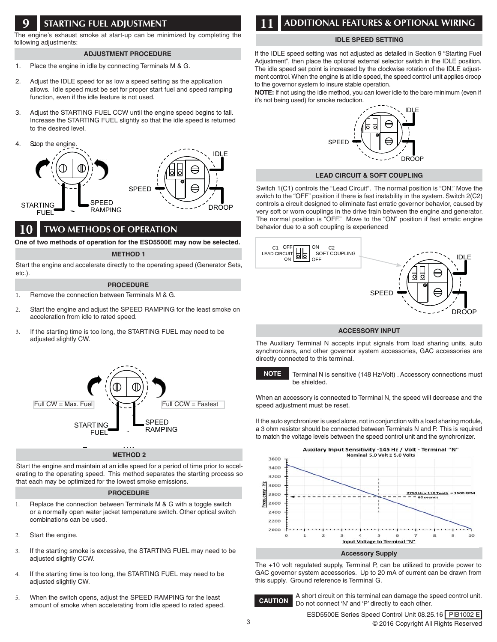### **9** STARTING FUEL ADJUSTMENT

The engine's exhaust smoke at start-up can be minimized by completing the following adjustments:

#### **ADJUSTMENT PROCEDURE**

- 1. Place the engine in idle by connecting Terminals M & G.
- 2. Adjust the IDLE speed for as low a speed setting as the application allows. Idle speed must be set for proper start fuel and speed ramping function, even if the idle feature is not used.
- 3. Adjust the STARTING FUEL CCW until the engine speed begins to fall. Increase the STARTING FUEL slightly so that the idle speed is returned to the desired level.
- 4. Stop the engine.



### **10** TWO METHODS OF OPERATION

**One of two methods of operation for the ESD5500E may now be selected.**

#### **METHOD 1**

Start the engine and accelerate directly to the operating speed (Generator Sets, etc.).

#### **PROCEDURE**

- 1. Remove the connection between Terminals M & G.
- 2. Start the engine and adjust the SPEED RAMPING for the least smoke on acceleration from idle to rated speed.
- 3. If the starting time is too long, the STARTING FUEL may need to be adjusted slightly CW.



#### **METHOD 2**

Start the engine and maintain at an idle speed for a period of time prior to accelerating to the operating speed. This method separates the starting process so that each may be optimized for the lowest smoke emissions.

#### **PROCEDURE**

- 1. Replace the connection between Terminals M & G with a toggle switch or a normally open water jacket temperature switch. Other optical switch combinations can be used.
- 2. Start the engine.
- 3. If the starting smoke is excessive, the STARTING FUEL may need to be adjusted slightly CCW.
- 4. If the starting time is too long, the STARTING FUEL may need to be adjusted slightly CW.
- 5. When the switch opens, adjust the SPEED RAMPING for the least amount of smoke when accelerating from idle speed to rated speed.

### **11** ADDITIONAL FEATURES & OPTIONAL WIRING

#### **IDLE SPEED SETTING**

If the IDLE speed setting was not adjusted as detailed in Section 9 "Starting Fuel Adjustment", then place the optional external selector switch in the IDLE position. The idle speed set point is increased by the clockwise rotation of the IDLE adjustment control. When the engine is at idle speed, the speed control unit applies droop to the governor system to insure stable operation.

**NOTE:** If not using the idle method, you can lower idle to the bare minimum (even if it's not being used) for smoke reduction.



#### **LEAD CIRCUIT & SOFT COUPLING**

Switch 1(C1) controls the "Lead Circuit". The normal position is "ON." Move the switch to the "OFF" position if there is fast instability in the system. Switch 2(C2) controls a circuit designed to eliminate fast erratic governor behavior, caused by very soft or worn couplings in the drive train between the engine and generator. The normal position is "OFF." Move to the "ON" position if fast erratic engine behavior due to a soft coupling is experienced



#### **ACCESSORY INPUT**

The Auxiliary Terminal N accepts input signals from load sharing units, auto synchronizers, and other governor system accessories, GAC accessories are directly connected to this terminal.



Terminal N is sensitive (148 Hz/Volt) . Accessory connections must be shielded.

When an accessory is connected to Terminal N, the speed will decrease and the speed adjustment must be reset.

If the auto synchronizer is used alone, not in conjunction with a load sharing module, a 3 ohm resistor should be connected between Terminals N and P. This is required to match the voltage levels between the speed control unit and the synchronizer.



The +10 volt regulated supply, Terminal P, can be utilized to provide power to GAC governor system accessories. Up to 20 mA of current can be drawn from this supply. Ground reference is Terminal G.



A short circuit on this terminal can damage the speed control unit. Do not connect 'N' and 'P' directly to each other. **CAUTION**

3 © 2016 Copyright All Rights Reserved ESD5500E Series Speed Control Unit 08.25.16 PIB1002 E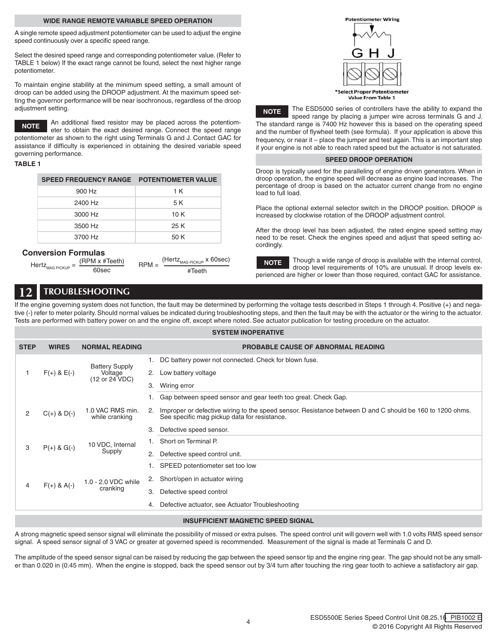#### **WIDE RANGE REMOTE VARIABLE SPEED OPERATION**

A single remote speed adjustment potentiometer can be used to adjust the engine speed continuously over a specific speed range.

Select the desired speed range and corresponding potentiometer value. (Refer to TABLE 1 below) If the exact range cannot be found, select the next higher range potentiometer.

To maintain engine stability at the minimum speed setting, a small amount of droop can be added using the DROOP adjustment. At the maximum speed setting the governor performance will be near isochronous, regardless of the droop adjustment setting.

An additional fixed resistor may be placed across the potentiometer to obtain the exact desired range. Connect the speed range potentiometer as shown to the right using Terminals G and J. Contact GAC for assistance if difficulty is experienced in obtaining the desired variable speed governing performance. **NOTE**

#### **TABLE 1**

| <b>SPEED FREQUENCY RANGE POTENTIOMETER VALUE</b> |      |
|--------------------------------------------------|------|
| 900 Hz                                           | 1 K  |
| 2400 Hz                                          | 5 K  |
| 3000 Hz                                          | 10 K |
| 3500 Hz                                          | 25 K |
| 3700 Hz                                          | 50 K |

#### **Conversion Formulas**

|                             | $(RPM \times #Teeth)$ | $RPM =$ | $(Hertz_{MAG\,PICKUP}$ x 60sec) |
|-----------------------------|-----------------------|---------|---------------------------------|
| Hertz <sub>mag Pickup</sub> | 60sec                 |         | #Teeth                          |

| <b>Potentiometer Wiring</b>                             |  |
|---------------------------------------------------------|--|
|                                                         |  |
|                                                         |  |
| <b>Select Proper Potentiomete</b><br>Value From Table 1 |  |

The ESD5000 series of controllers have the ability to expand the **NOTE**

speed range by placing a jumper wire across terminals G and J. The standard range is 7400 Hz however this is based on the operating speed and the number of flywheel teeth (see formula). If your application is above this frequency, or near it – place the jumper and test again. This is an important step if your engine is not able to reach rated speed but the actuator is not saturated.

#### **SPEED DROOP OPERATION**

Droop is typically used for the paralleling of engine driven generators. When in droop operation, the engine speed will decrease as engine load increases. The percentage of droop is based on the actuator current change from no engine load to full load.

Place the optional external selector switch in the DROOP position. DROOP is increased by clockwise rotation of the DROOP adjustment control.

After the droop level has been adjusted, the rated engine speed setting may need to be reset. Check the engines speed and adjust that speed setting accordingly.

Though a wide range of droop is available with the internal control, droop level requirements of 10% are unusual. If droop levels experienced are higher or lower than those required, contact GAC for assistance. **NOTE**

### **12** TROUBLESHOOTING

If the engine governing system does not function, the fault may be determined by performing the voltage tests described in Steps 1 through 4. Positive (+) and negative (-) refer to meter polarity. Should normal values be indicated during troubleshooting steps, and then the fault may be with the actuator or the wiring to the actuator. Tests are performed with battery power on and the engine off, except where noted. See actuator publication for testing procedure on the actuator.

**SYSTEM INOPERATIVE**

| <b>STEP</b>                               | <b>WIRES</b>                                     | <b>NORMAL READING</b>              |                                                       | <b>PROBABLE CAUSE OF ABNORMAL READING</b>                                                                                                                |
|-------------------------------------------|--------------------------------------------------|------------------------------------|-------------------------------------------------------|----------------------------------------------------------------------------------------------------------------------------------------------------------|
|                                           |                                                  |                                    | DC battery power not connected. Check for blown fuse. |                                                                                                                                                          |
|                                           | $F(+)$ & $E(-)$                                  | <b>Battery Supply</b><br>Voltage   | 2.                                                    | Low battery voltage                                                                                                                                      |
|                                           |                                                  | (12 or 24 VDC)                     | 3.                                                    | Wiring error                                                                                                                                             |
|                                           |                                                  |                                    |                                                       | 1. Gap between speed sensor and gear teeth too great. Check Gap.                                                                                         |
| 2                                         | $C(+)$ & $D(-)$                                  | 1.0 VAC RMS min.<br>while cranking | 2.                                                    | Improper or defective wiring to the speed sensor. Resistance between D and C should be 160 to 1200 ohms.<br>See specific mag pickup data for resistance. |
|                                           |                                                  |                                    | З.                                                    | Defective speed sensor.                                                                                                                                  |
|                                           | 10 VDC, Internal<br>$P(+)$ & G(-)<br>3<br>Supply |                                    |                                                       | Short on Terminal P.                                                                                                                                     |
|                                           |                                                  |                                    | 2.                                                    | Defective speed control unit.                                                                                                                            |
|                                           |                                                  |                                    |                                                       | SPEED potentiometer set too low                                                                                                                          |
|                                           |                                                  | 1.0 - 2.0 VDC while                | 2.                                                    | Short/open in actuator wiring                                                                                                                            |
| $F(+)$ & A(-)<br>4                        | cranking                                         | 3.                                 | Defective speed control                               |                                                                                                                                                          |
|                                           |                                                  |                                    | 4.                                                    | Defective actuator, see Actuator Troubleshooting                                                                                                         |
| <b>INSUFFICIENT MAGNETIC SPEED SIGNAL</b> |                                                  |                                    |                                                       |                                                                                                                                                          |

A strong magnetic speed sensor signal will eliminate the possibility of missed or extra pulses. The speed control unit will govern well with 1.0 volts RMS speed sensor signal. A speed sensor signal of 3 VAC or greater at governed speed is recommended. Measurement of the signal is made at Terminals C and D.

The amplitude of the speed sensor signal can be raised by reducing the gap between the speed sensor tip and the engine ring gear. The gap should not be any smaller than 0.020 in (0.45 mm). When the engine is stopped, back the speed sensor out by 3/4 turn after touching the ring gear tooth to achieve a satisfactory air gap.